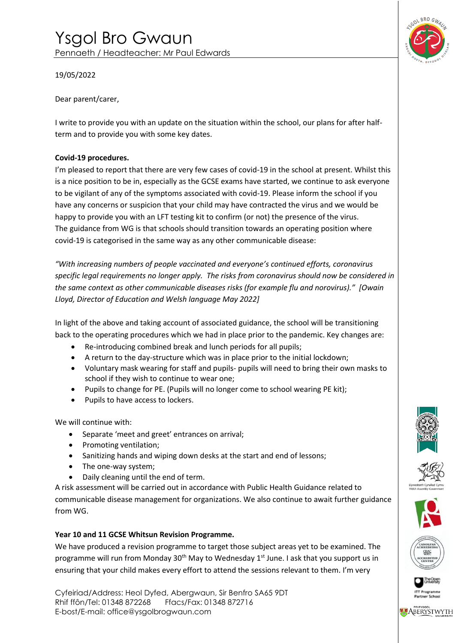

19/05/2022

Dear parent/carer,

I write to provide you with an update on the situation within the school, our plans for after halfterm and to provide you with some key dates.

# **Covid-19 procedures.**

I'm pleased to report that there are very few cases of covid-19 in the school at present. Whilst this is a nice position to be in, especially as the GCSE exams have started, we continue to ask everyone to be vigilant of any of the symptoms associated with covid-19. Please inform the school if you have any concerns or suspicion that your child may have contracted the virus and we would be happy to provide you with an LFT testing kit to confirm (or not) the presence of the virus. The guidance from WG is that schools should transition towards an operating position where covid-19 is categorised in the same way as any other communicable disease:

*"With increasing numbers of people vaccinated and everyone's continued efforts, coronavirus specific legal requirements no longer apply. The risks from coronavirus should now be considered in the same context as other communicable diseases risks (for example flu and norovirus)." [Owain Lloyd, Director of Education and Welsh language May 2022]*

In light of the above and taking account of associated guidance, the school will be transitioning back to the operating procedures which we had in place prior to the pandemic. Key changes are:

- Re-introducing combined break and lunch periods for all pupils;
- A return to the day-structure which was in place prior to the initial lockdown;
- Voluntary mask wearing for staff and pupils- pupils will need to bring their own masks to school if they wish to continue to wear one;
- Pupils to change for PE. (Pupils will no longer come to school wearing PE kit);
- Pupils to have access to lockers.

We will continue with:

- Separate 'meet and greet' entrances on arrival;
- Promoting ventilation;
- Sanitizing hands and wiping down desks at the start and end of lessons;
- The one-way system;
- Daily cleaning until the end of term.

A risk assessment will be carried out in accordance with Public Health Guidance related to communicable disease management for organizations. We also continue to await further guidance from WG.

# **Year 10 and 11 GCSE Whitsun Revision Programme.**

We have produced a revision programme to target those subject areas yet to be examined. The programme will run from Monday 30<sup>th</sup> May to Wednesday 1<sup>st</sup> June. I ask that you support us in ensuring that your child makes every effort to attend the sessions relevant to them. I'm very

Cyfeiriad/Address: Heol Dyfed, Abergwaun, Sir Benfro SA65 9DT Rhif ffôn/Tel: 01348 872268 Ffacs/Fax: 01348 872716 E-bost/E-mail: office@ysgolbrogwaun.com









Partner Sch